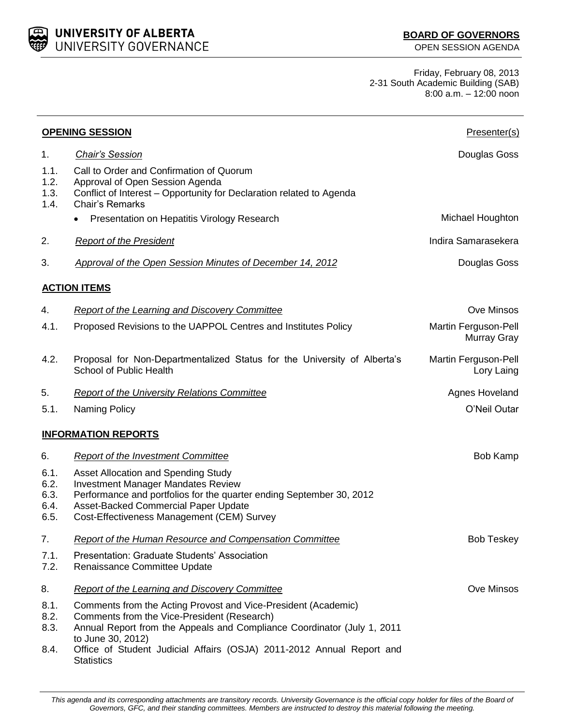UNIVERSITY OF ALBERTA UNIVERSITY GOVERNANCE

Friday, February 08, 2013 2-31 South Academic Building (SAB) 8:00 a.m. – 12:00 noon

| <b>OPENING SESSION</b>               |                                                                                                                                                                                                                                                                                                             | Presenter(s)                        |
|--------------------------------------|-------------------------------------------------------------------------------------------------------------------------------------------------------------------------------------------------------------------------------------------------------------------------------------------------------------|-------------------------------------|
| 1.                                   | <b>Chair's Session</b>                                                                                                                                                                                                                                                                                      | Douglas Goss                        |
| 1.1.<br>1.2.<br>1.3.<br>1.4.         | Call to Order and Confirmation of Quorum<br>Approval of Open Session Agenda<br>Conflict of Interest - Opportunity for Declaration related to Agenda<br><b>Chair's Remarks</b>                                                                                                                               |                                     |
|                                      | Presentation on Hepatitis Virology Research                                                                                                                                                                                                                                                                 | Michael Houghton                    |
| 2.                                   | <b>Report of the President</b>                                                                                                                                                                                                                                                                              | Indira Samarasekera                 |
| 3.                                   | Approval of the Open Session Minutes of December 14, 2012                                                                                                                                                                                                                                                   | Douglas Goss                        |
|                                      | <b>ACTION ITEMS</b>                                                                                                                                                                                                                                                                                         |                                     |
| 4.                                   | <b>Report of the Learning and Discovery Committee</b>                                                                                                                                                                                                                                                       | Ove Minsos                          |
| 4.1.                                 | Proposed Revisions to the UAPPOL Centres and Institutes Policy                                                                                                                                                                                                                                              | Martin Ferguson-Pell<br>Murray Gray |
| 4.2.                                 | Proposal for Non-Departmentalized Status for the University of Alberta's<br>School of Public Health                                                                                                                                                                                                         | Martin Ferguson-Pell<br>Lory Laing  |
| 5.                                   | <b>Report of the University Relations Committee</b>                                                                                                                                                                                                                                                         | Agnes Hoveland                      |
| 5.1.                                 | <b>Naming Policy</b>                                                                                                                                                                                                                                                                                        | O'Neil Outar                        |
|                                      | <b>INFORMATION REPORTS</b>                                                                                                                                                                                                                                                                                  |                                     |
| 6.                                   | <b>Report of the Investment Committee</b>                                                                                                                                                                                                                                                                   | Bob Kamp                            |
| 6.1.<br>6.2.<br>6.3.<br>6.4.<br>6.5. | Asset Allocation and Spending Study<br><b>Investment Manager Mandates Review</b><br>Performance and portfolios for the quarter ending September 30, 2012<br>Asset-Backed Commercial Paper Update<br>Cost-Effectiveness Management (CEM) Survey                                                              |                                     |
| 7.                                   | Report of the Human Resource and Compensation Committee                                                                                                                                                                                                                                                     | <b>Bob Teskey</b>                   |
| 7.1.<br>7.2.                         | Presentation: Graduate Students' Association<br>Renaissance Committee Update                                                                                                                                                                                                                                |                                     |
| 8.                                   | <b>Report of the Learning and Discovery Committee</b>                                                                                                                                                                                                                                                       | Ove Minsos                          |
| 8.1.<br>8.2.<br>8.3.<br>8.4.         | Comments from the Acting Provost and Vice-President (Academic)<br>Comments from the Vice-President (Research)<br>Annual Report from the Appeals and Compliance Coordinator (July 1, 2011<br>to June 30, 2012)<br>Office of Student Judicial Affairs (OSJA) 2011-2012 Annual Report and<br><b>Statistics</b> |                                     |

*This agenda and its corresponding attachments are transitory records. University Governance is the official copy holder for files of the Board of Governors, GFC, and their standing committees. Members are instructed to destroy this material following the meeting.*